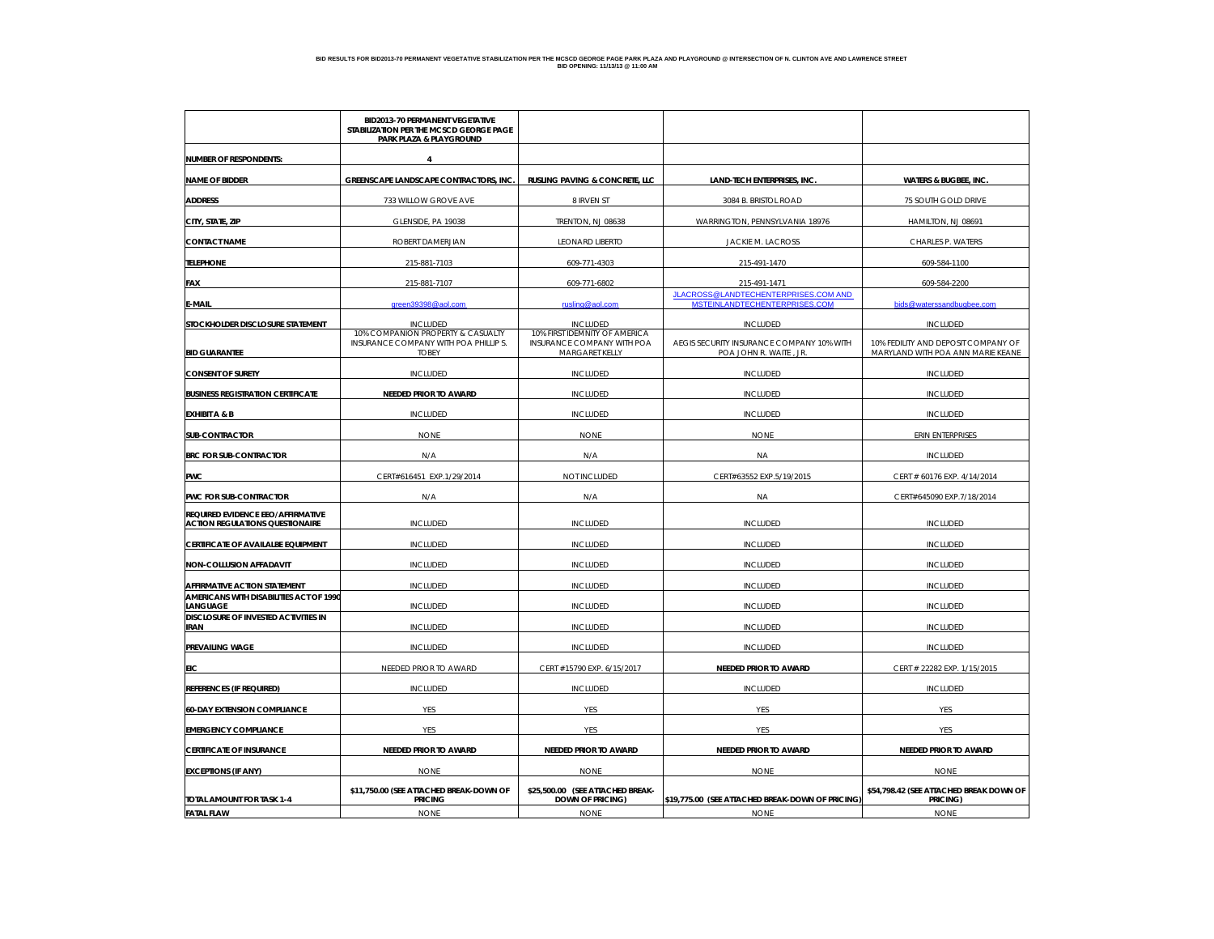|                                                                             | <b>BID2013-70 PERMANENT VEGETATIVE</b><br>STABILIZATION PER THE MCSCD GEORGE PAGE<br><b>PARK PLAZA &amp; PLAYGROUND</b> |                                                             |                                                                       |                                                        |  |
|-----------------------------------------------------------------------------|-------------------------------------------------------------------------------------------------------------------------|-------------------------------------------------------------|-----------------------------------------------------------------------|--------------------------------------------------------|--|
| <b>NUMBER OF RESPONDENTS:</b>                                               | 4                                                                                                                       |                                                             |                                                                       |                                                        |  |
| <b>NAME OF BIDDER</b>                                                       | GREENSCAPE LANDSCAPE CONTRACTORS, INC                                                                                   | RUSLING PAVING & CONCRETE, LLC                              | <b>LAND-TECH ENTERPRISES, INC</b>                                     | <b>WATERS &amp; BUGBEE, INC</b>                        |  |
| <b>ADDRESS</b>                                                              | 733 WILLOW GROVE AVE                                                                                                    | 8 IRVEN ST                                                  | 3084 B. BRISTOL ROAD                                                  | 75 SOUTH GOLD DRIVE                                    |  |
| CITY, STATE, ZIP                                                            | GLENSIDE, PA 19038                                                                                                      | TRENTON, NJ 08638                                           | WARRINGTON, PENNSYLVANIA 18976                                        | HAMILTON, NJ 08691                                     |  |
| <b>CONTACT NAME</b>                                                         | ROBERT DAMERJIAN                                                                                                        | <b>LEONARD LIBERTO</b>                                      | <b>JACKIE M. LACROSS</b>                                              | CHARLES P. WATERS                                      |  |
| <b>TELEPHONE</b>                                                            | 215-881-7103                                                                                                            | 609-771-4303                                                | 215-491-1470                                                          | 609-584-1100                                           |  |
| FAX                                                                         | 215-881-7107                                                                                                            | 609-771-6802                                                | 215-491-1471                                                          | 609-584-2200                                           |  |
| E-MAIL                                                                      | green39398@aol.com                                                                                                      | rusling@aol.com                                             | JLACROSS@LANDTECHENTERPRISES.COM AND<br>MSTEINLANDTECHENTERPRISES.COM | bids@waterssandbugbee.com                              |  |
| STOCKHOLDER DISCLOSURE STATEMENT                                            | <b>INCLUDED</b>                                                                                                         | <b>INCLUDED</b>                                             | <b>INCLUDED</b>                                                       |                                                        |  |
|                                                                             | 10% COMPANION PROPERTY & CASUALTY<br>INSURANCE COMPANY WITH POA PHILLIP S.                                              | 10% FIRST IDEMNITY OF AMERICA<br>INSURANCE COMPANY WITH POA | AEGIS SECURITY INSURANCE COMPANY 10% WITH                             | <b>INCLUDED</b><br>10% FEDILITY AND DEPOSIT COMPANY OF |  |
| <b>BID GUARANTEE</b>                                                        | <b>TOBEY</b>                                                                                                            | MARGARET KELLY                                              | POA JOHN R. WAITE, JR.                                                | MARYLAND WITH POA ANN MARIE KEANE                      |  |
| <b>CONSENT OF SURETY</b>                                                    | <b>INCLUDED</b>                                                                                                         | <b>INCLUDED</b>                                             | <b>INCLUDED</b>                                                       | <b>INCLUDED</b>                                        |  |
| <b>BUSINESS REGISTRATION CERTIFICATE</b>                                    | NEEDED PRIOR TO AWARD                                                                                                   | <b>INCLUDED</b>                                             | <b>INCLUDED</b>                                                       | <b>INCLUDED</b>                                        |  |
| <b>EXHIBIT A &amp; B</b>                                                    | <b>INCLUDED</b>                                                                                                         | <b>INCLUDED</b>                                             | <b>INCLUDED</b>                                                       | <b>INCLUDED</b>                                        |  |
| <b>SUB-CONTRACTOR</b>                                                       | <b>NONE</b>                                                                                                             | <b>NONE</b>                                                 | <b>NONE</b>                                                           | <b>ERIN ENTERPRISES</b>                                |  |
| <b>BRC FOR SUB-CONTRACTOR</b>                                               | N/A                                                                                                                     | N/A                                                         | <b>NA</b>                                                             | <b>INCLUDED</b>                                        |  |
| <b>PWC</b>                                                                  | CERT#616451 EXP.1/29/2014                                                                                               | NOT INCLUDED                                                | CERT#63552 EXP.5/19/2015                                              | CERT # 60176 EXP. 4/14/2014                            |  |
| PWC FOR SUB-CONTRACTOR                                                      | N/A                                                                                                                     | N/A                                                         | <b>NA</b>                                                             | CERT#645090 EXP.7/18/2014                              |  |
| REQUIRED EVIDENCE EEO/AFFIRMATIVE<br><b>ACTION REGULATIONS QUESTIONAIRE</b> | <b>INCLUDED</b>                                                                                                         | <b>INCLUDED</b>                                             | <b>INCLUDED</b>                                                       | <b>INCLUDED</b>                                        |  |
| CERTIFICATE OF AVAILALBE EQUIPMENT                                          | <b>INCLUDED</b>                                                                                                         | <b>INCLUDED</b>                                             | <b>INCLUDED</b>                                                       | <b>INCLUDED</b>                                        |  |
| NON-COLLUSION AFFADAVIT                                                     | <b>INCLUDED</b>                                                                                                         | <b>INCLUDED</b>                                             | <b>INCLUDED</b>                                                       | <b>INCLUDED</b>                                        |  |
| AFFIRMATIVE ACTION STATEMENT                                                | <b>INCLUDED</b>                                                                                                         | <b>INCLUDED</b>                                             | <b>INCLUDED</b>                                                       | <b>INCLUDED</b>                                        |  |
| AMERICANS WITH DISABILITIES ACT OF 1990<br>LANGUAGE                         | <b>INCLUDED</b>                                                                                                         | <b>INCLUDED</b>                                             | <b>INCLUDED</b>                                                       | <b>INCLUDED</b>                                        |  |
| DISCLOSURE OF INVESTED ACTIVITIES IN<br><b>IRAN</b>                         | <b>INCLUDED</b>                                                                                                         | <b>INCLUDED</b>                                             | <b>INCLUDED</b>                                                       | <b>INCLUDED</b>                                        |  |
| PREVAILING WAGE                                                             | <b>INCLUDED</b>                                                                                                         | <b>INCLUDED</b>                                             | <b>INCLUDED</b>                                                       | <b>INCLUDED</b>                                        |  |
| EIC                                                                         | NEEDED PRIOR TO AWARD                                                                                                   | CERT #15790 EXP. 6/15/2017                                  | <b>NEEDED PRIOR TO AWARD</b>                                          | CERT # 22282 EXP. 1/15/2015                            |  |
| <b>REFERENCES (IF REQUIRED)</b>                                             | <b>INCLUDED</b>                                                                                                         | <b>INCLUDED</b>                                             | <b>INCLUDED</b>                                                       | <b>INCLUDED</b>                                        |  |
| <b>60-DAY EXTENSION COMPLIANCE</b>                                          | YES                                                                                                                     | <b>YES</b>                                                  | <b>YES</b>                                                            | <b>YES</b>                                             |  |
| <b>EMERGENCY COMPLIANCE</b>                                                 | YES                                                                                                                     | <b>YES</b>                                                  | <b>YES</b>                                                            | <b>YES</b>                                             |  |
| <b>CERTIFICATE OF INSURANCE</b>                                             | NEEDED PRIOR TO AWARD                                                                                                   | <b>NEEDED PRIOR TO AWARD</b>                                | <b>NEEDED PRIOR TO AWARD</b>                                          | NEEDED PRIOR TO AWARD                                  |  |
| <b>EXCEPTIONS (IF ANY)</b>                                                  | <b>NONE</b>                                                                                                             | <b>NONE</b>                                                 | <b>NONE</b>                                                           | <b>NONE</b>                                            |  |
| TOTAL AMOUNT FOR TASK 1-4                                                   | \$11,750.00 (SEE ATTACHED BREAK-DOWN OF                                                                                 | \$25,500.00 (SEE ATTACHED BREAK-<br><b>DOWN OF PRICING)</b> | \$19,775.00 (SEE ATTACHED BREAK-DOWN OF PRICING                       | \$54,798.42 (SEE ATTACHED BREAK DOWN OF                |  |
| <b>FATAL FLAW</b>                                                           | <b>PRICING</b><br><b>NONE</b>                                                                                           | <b>NONE</b>                                                 | <b>NONE</b>                                                           | PRICING)<br><b>NONE</b>                                |  |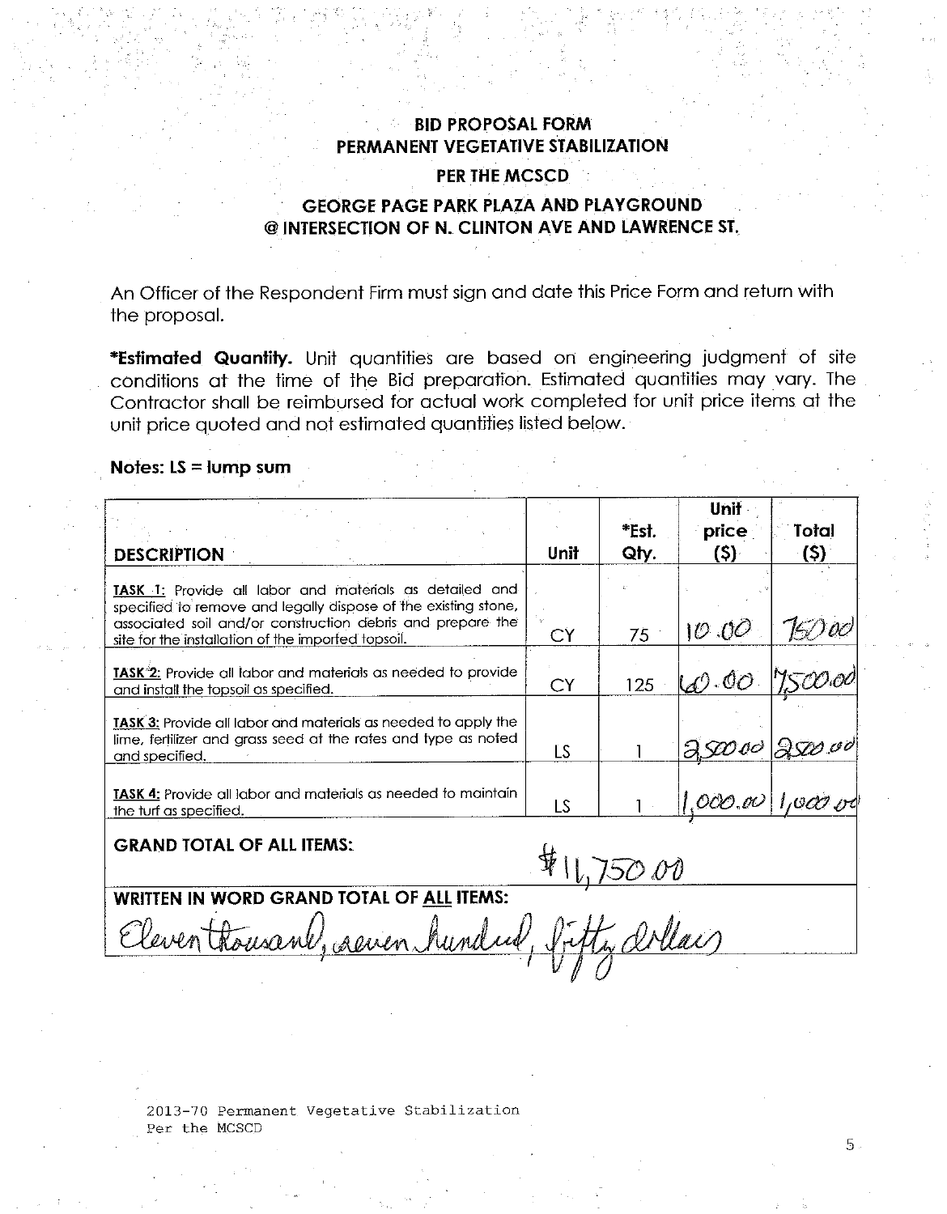### **BID PROPOSAL FORM** PERMANENT VEGETATIVE STABILIZATION

#### PER THE MCSCD

# **GEORGE PAGE PARK PLAZA AND PLAYGROUND** @ INTERSECTION OF N. CLINTON AVE AND LAWRENCE ST.

An Officer of the Respondent Firm must sign and date this Price Form and return with the proposal.

\*Estimated Quantity. Unit quantities are based on engineering judgment of site conditions at the time of the Bid preparation. Estimated quantities may vary. The Contractor shall be reimbursed for actual work completed for unit price items at the unit price quoted and not estimated quantities listed below.

#### Notes:  $LS = lump sum$

| <b>DESCRIPTION</b>                                                                                               | Unit      | *Est.<br>Qty. | Unit<br>price<br>(\$)· | Total<br>(\$) |
|------------------------------------------------------------------------------------------------------------------|-----------|---------------|------------------------|---------------|
| <b>TASK</b> 1: Provide all labor and materials as detailed and                                                   |           |               |                        |               |
| specified to remove and legally dispose of the existing stone,                                                   |           |               |                        |               |
| associated soil and/or construction debris and prepare the<br>site for the installation of the imported topsoil. | CY        | 75            | 10.00                  |               |
| TASK <sup>-2</sup> : Provide all labor and materials as needed to provide                                        |           |               |                        |               |
| and install the topsoil as specified.                                                                            | <b>CY</b> | 125           | 60.00 7500.00          |               |
| <b>TASK 3:</b> Provide all labor and materials as needed to apply the                                            |           |               |                        |               |
| lime, fertilizer and grass seed at the rates and type as noted<br>and specified.                                 | LS        |               | $30000$ 2500.00        |               |
| <b>TASK 4:</b> Provide all labor and materials as needed to maintain                                             |           |               |                        |               |
| the turf as specified.                                                                                           | LS        |               | $1,000.00$ 1,000 rd    |               |

**GRAND TOTAL OF ALL ITEMS:** 

 $#11,75000$ <br>Fifty arlay

**WRITTEN IN WORD GRAND TOTAL OF ALL ITEMS:** 

Eleventhousant, aeven hundred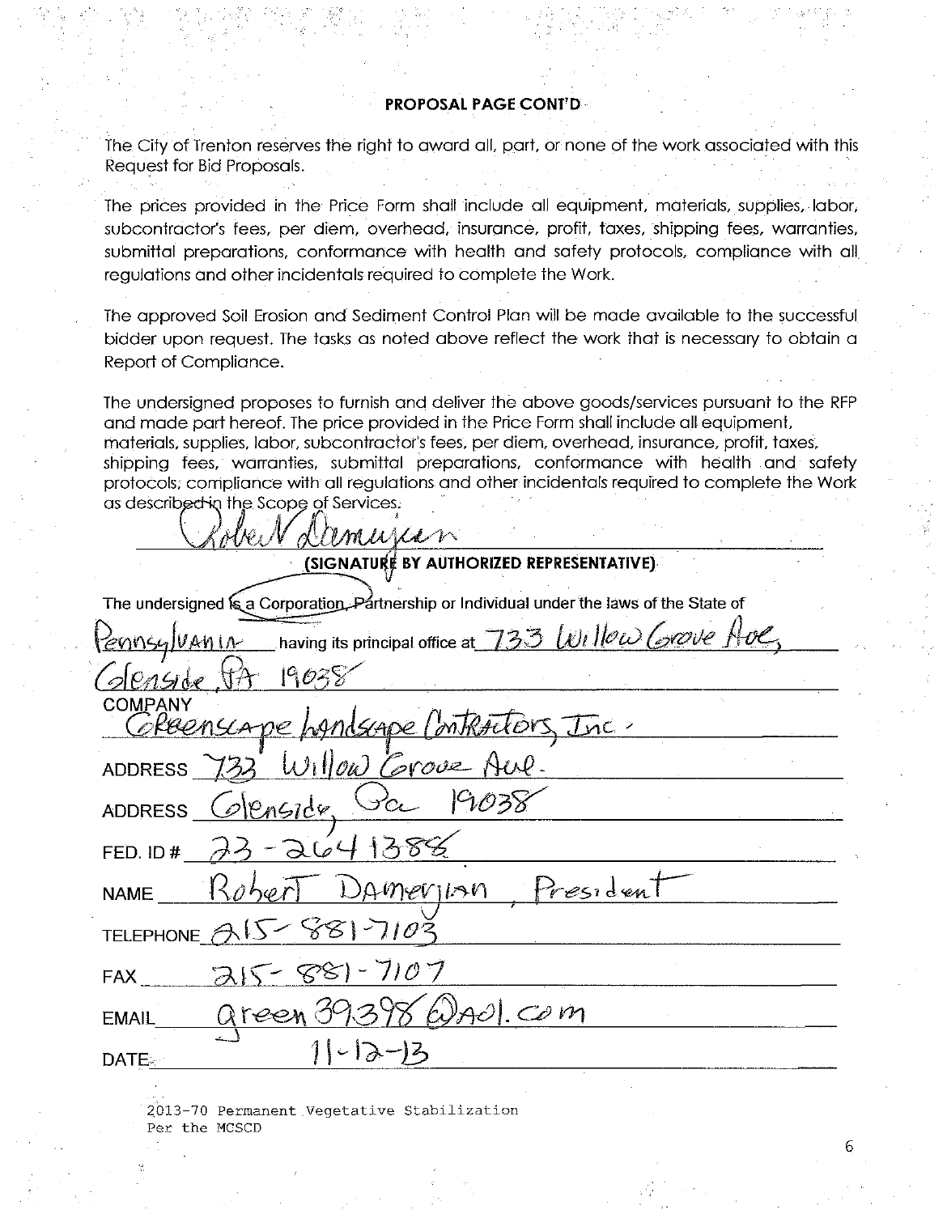### **PROPOSAL PAGE CONT'D-**

The City of Trenton reserves the right to award all, part, or none of the work associated with this Request for Bid Proposals.

The prices provided in the Price Form shall include all equipment, materials, supplies, labor, subcontractor's fees, per diem, overhead, insurance, profit, taxes, shipping fees, warranties, submittal preparations, conformance with health and safety protocols, compliance with all regulations and other incidentals required to complete the Work.

The approved Soil Erosion and Sediment Control Plan will be made available to the successful bidder upon request. The tasks as noted above reflect the work that is necessary to obtain a Report of Compliance.

The undersigned proposes to furnish and deliver the above goods/services pursuant to the RFP and made part hereof. The price provided in the Price Form shall include all equipment, materials, supplies, labor, subcontractor's fees, per diem, overhead, insurance, profit, taxes, shipping fees, warranties, submittal preparations, conformance with health and safety protocols, compliance with all regulations and other incidentals required to complete the Work as described in the Scope of Services.

MWLLM (SIGNATURE BY AUTHORIZED REPRESENTATIVE) The undersigned is a Corporation. Partnership or Individual under the laws of the State of having its principal office at  $\,733\,$  Willow Corove K  $AM1A$  $P_{A}G$ **COMPANY** Andscape I ontract  $110\omega$  Corove **ADDRESS ADDRESS**  $d\mathcal{U}$ FED. ID# President merinn **NAME TELEPHONE**  $7107$ 987 **FAX**  $Ad$  Com **EMAIL** DATE.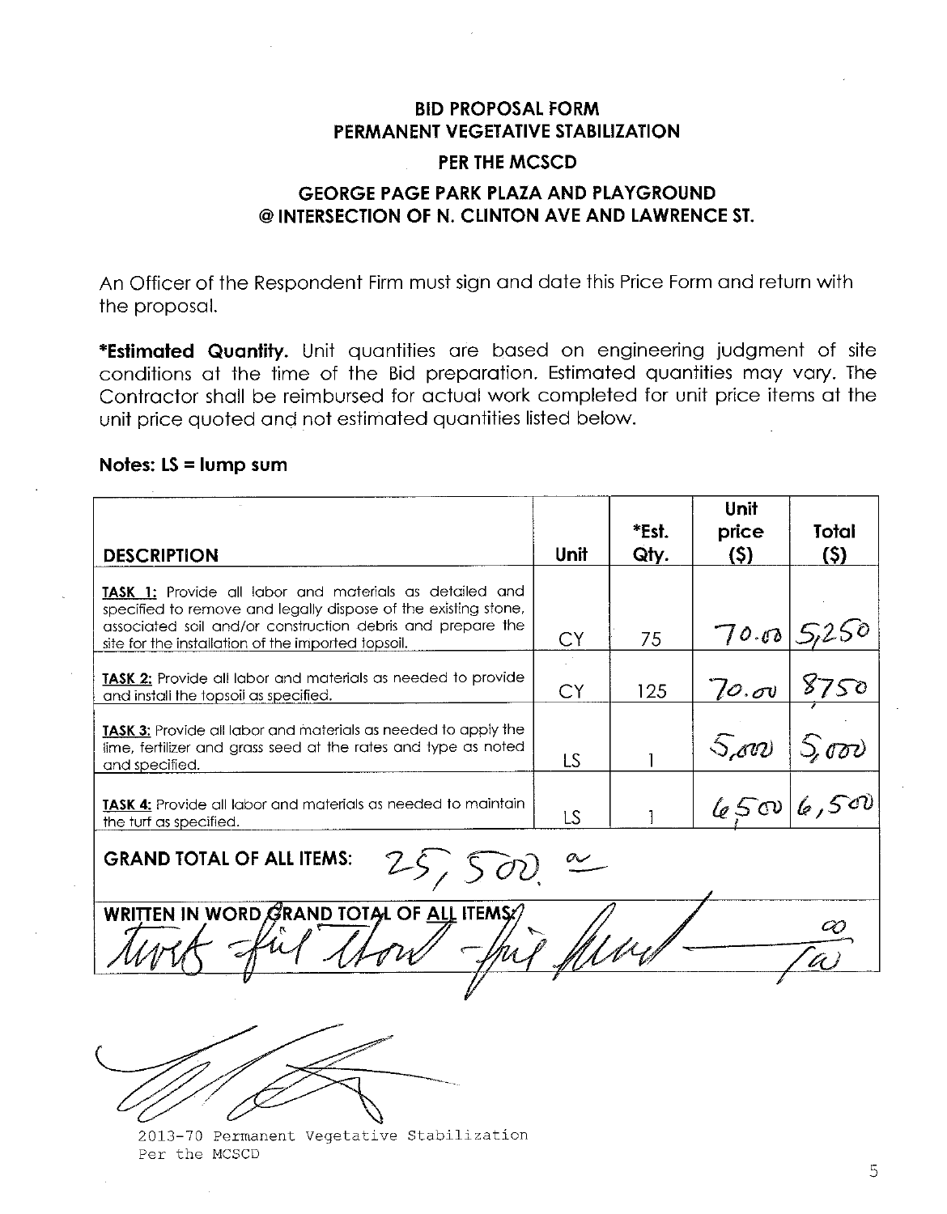# **BID PROPOSAL FORM** PERMANENT VEGETATIVE STABILIZATION

# **PER THE MCSCD**

# **GEORGE PAGE PARK PLAZA AND PLAYGROUND** @ INTERSECTION OF N. CLINTON AVE AND LAWRENCE ST.

An Officer of the Respondent Firm must sign and date this Price Form and return with the proposal.

\*Estimated Quantity. Unit quantities are based on engineering judgment of site conditions at the time of the Bid preparation. Estimated quantities may vary. The Contractor shall be reimbursed for actual work completed for unit price items at the unit price quoted and not estimated quantities listed below.

### Notes: LS = lump sum

| <b>DESCRIPTION</b>                                                                                                                                                                                                                                   | Unit      | *Est.<br>Qty. | Unit<br>price<br>(S) | Total<br>(S) |  |
|------------------------------------------------------------------------------------------------------------------------------------------------------------------------------------------------------------------------------------------------------|-----------|---------------|----------------------|--------------|--|
| <b>TASK 1:</b> Provide all labor and materials as detailed and<br>specified to remove and legally dispose of the existing stone,<br>associated soil and/or construction debris and prepare the<br>site for the installation of the imported topsoil. | CY.       | 75            | 70.00                |              |  |
| TASK 2: Provide all labor and materials as needed to provide<br>and install the topsoil as specified.                                                                                                                                                | CY        | 125           | 70.00                | 8750         |  |
| <b>TASK 3:</b> Provide all labor and materials as needed to apply the<br>lime, fertilizer and grass seed at the rates and type as noted<br>and specified.                                                                                            | LS.       |               | 5.00                 | 5,000        |  |
| <b>TASK 4:</b> Provide all labor and materials as needed to maintain<br>the turf as specified.                                                                                                                                                       | <b>LS</b> |               |                      | 450/6,500    |  |
| <b>GRAND TOTAL OF ALL ITEMS:</b><br>25,500                                                                                                                                                                                                           |           |               |                      |              |  |
| WRITTEN IN WORD GRAND TOTAL OF ALL ITEMS:/                                                                                                                                                                                                           |           |               |                      |              |  |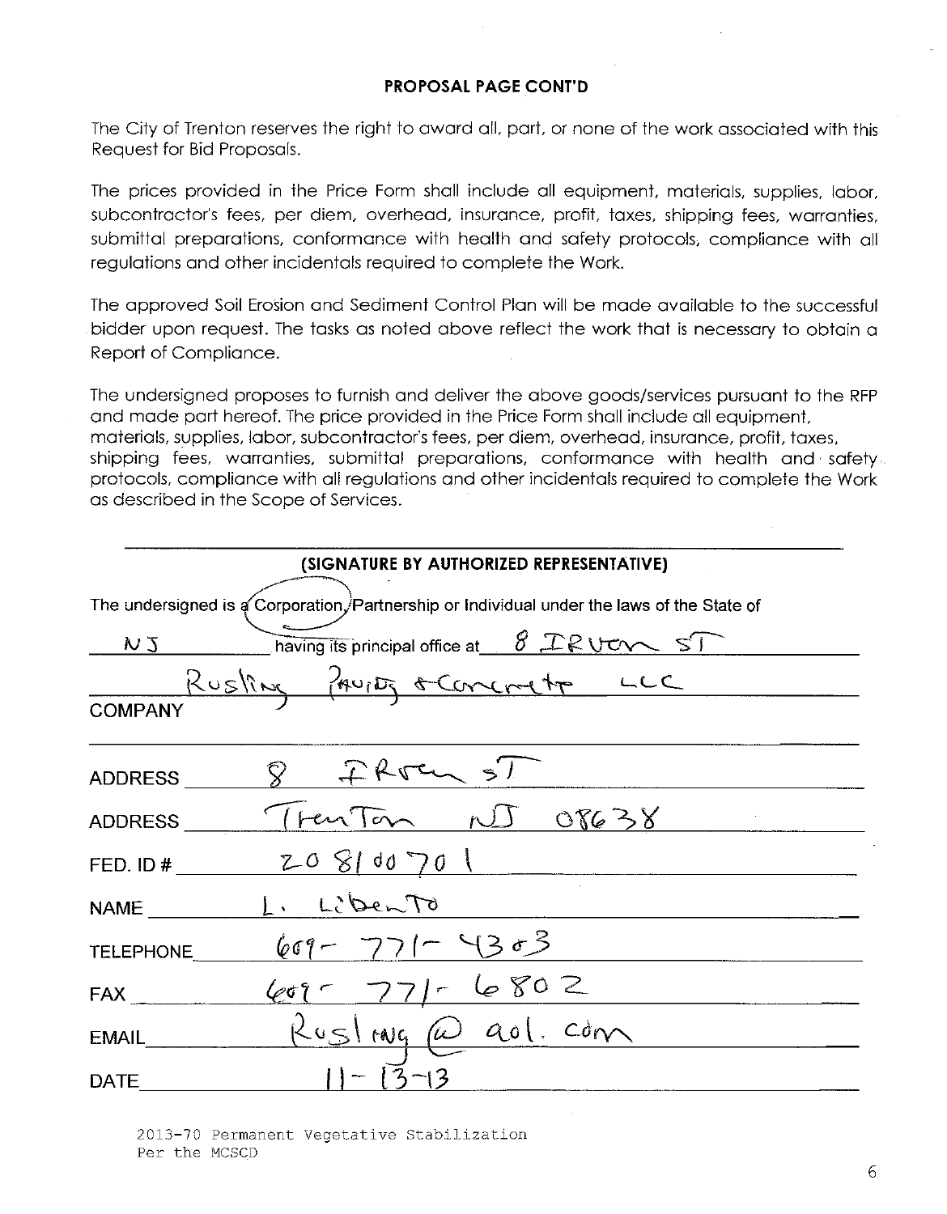### **PROPOSAL PAGE CONT'D**

The City of Trenton reserves the right to award all, part, or none of the work associated with this Request for Bid Proposals.

The prices provided in the Price Form shall include all equipment, materials, supplies, labor, subcontractor's fees, per diem, overhead, insurance, profit, taxes, shipping fees, warranties, submittal preparations, conformance with health and safety protocols, compliance with all regulations and other incidentals required to complete the Work.

The approved Soil Erosion and Sediment Control Plan will be made available to the successful bidder upon request. The tasks as noted above reflect the work that is necessary to obtain a Report of Compliance.

The undersigned proposes to furnish and deliver the above goods/services pursuant to the RFP and made part hereof. The price provided in the Price Form shall include all equipment, materials, supplies, labor, subcontractor's fees, per diem, overhead, insurance, profit, taxes, shipping fees, warranties, submittal preparations, conformance with health and safety. protocols, compliance with all regulations and other incidentals required to complete the Work as described in the Scope of Services.

|                | (SIGNATURE BY AUTHORIZED REPRESENTATIVE)                                                   |
|----------------|--------------------------------------------------------------------------------------------|
|                | The undersigned is a Corporation, Partnership or Individual under the laws of the State of |
|                | $NJ$ having its principal office at $8.2$ R U C $\sim$ ST                                  |
| <b>COMPANY</b> | Rusling from sconcreto LCC                                                                 |
| <b>ADDRESS</b> | 8 FRJE SI                                                                                  |
|                | ADDRESS Trenton NJ OP638                                                                   |
|                | FED. ID # $Z-O \Big\{ dO \Big\}$ $0 \left( 0 \right)$                                      |
| <b>NAME</b>    | L. Liberto                                                                                 |
| TELEPHONE      | $607 - 771 - 4303$                                                                         |
| <b>FAX</b>     | $60 - 771 - 6802$                                                                          |
| EMAIL          | Rusling@ao1.com                                                                            |
| <b>DATE</b>    |                                                                                            |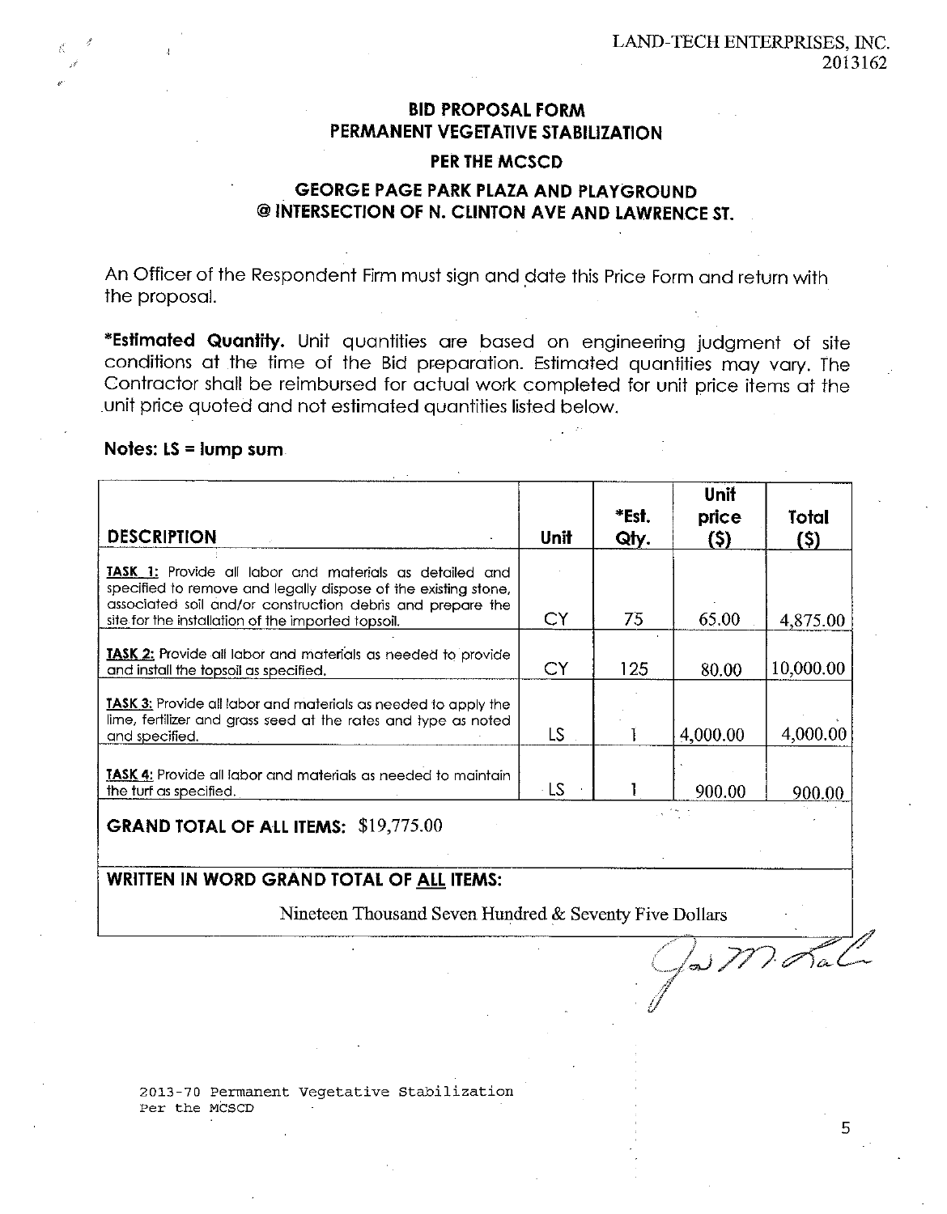# **BID PROPOSAL FORM** PERMANENT VEGETATIVE STABILIZATION **PER THE MCSCD**

# **GEORGE PAGE PARK PLAZA AND PLAYGROUND** @ INTERSECTION OF N. CLINTON AVE AND LAWRENCE ST.

An Officer of the Respondent Firm must sign and date this Price Form and return with the proposal.

\*Estimated Quantity. Unit quantities are based on engineering judgment of site conditions at the time of the Bid preparation. Estimated quantities may vary. The Contractor shall be reimbursed for actual work completed for unit price items at the unit price quoted and not estimated quantities listed below.

### Notes:  $LS = lum$  sum.

| <b>DESCRIPTION</b>                                                                                                                                                                                                                            | Unit | *Est.<br>Qty. | <b>Unit</b><br>price<br>(S) | Total<br>(Ş) |
|-----------------------------------------------------------------------------------------------------------------------------------------------------------------------------------------------------------------------------------------------|------|---------------|-----------------------------|--------------|
| TASK 1: Provide all labor and materials as detailed and<br>specified to remove and legally dispose of the existing stone,<br>associated soil and/or construction debris and prepare the<br>site for the installation of the imported topsoil. | СY   | 75            | 65.00                       | 4,875.00     |
| <b>TASK 2:</b> Provide all labor and materials as needed to provide<br>and install the topsoil as specified.                                                                                                                                  | CY   | 125           | 80.00                       | 10,000.00    |
| TASK 3: Provide all labor and materials as needed to apply the<br>lime, fertilizer and grass seed at the rates and type as noted<br>and specified.                                                                                            | LS   |               | 4,000.00                    | 4,000.00     |
| <b>TASK 4:</b> Provide all labor and materials as needed to maintain<br>the turf as specified.                                                                                                                                                | - LS |               | 900.00                      | 900.00       |

**GRAND TOTAL OF ALL ITEMS: \$19,775.00** 

### WRITTEN IN WORD GRAND TOTAL OF ALL ITEMS:

Nineteen Thousand Seven Hundred & Seventy Five Dollars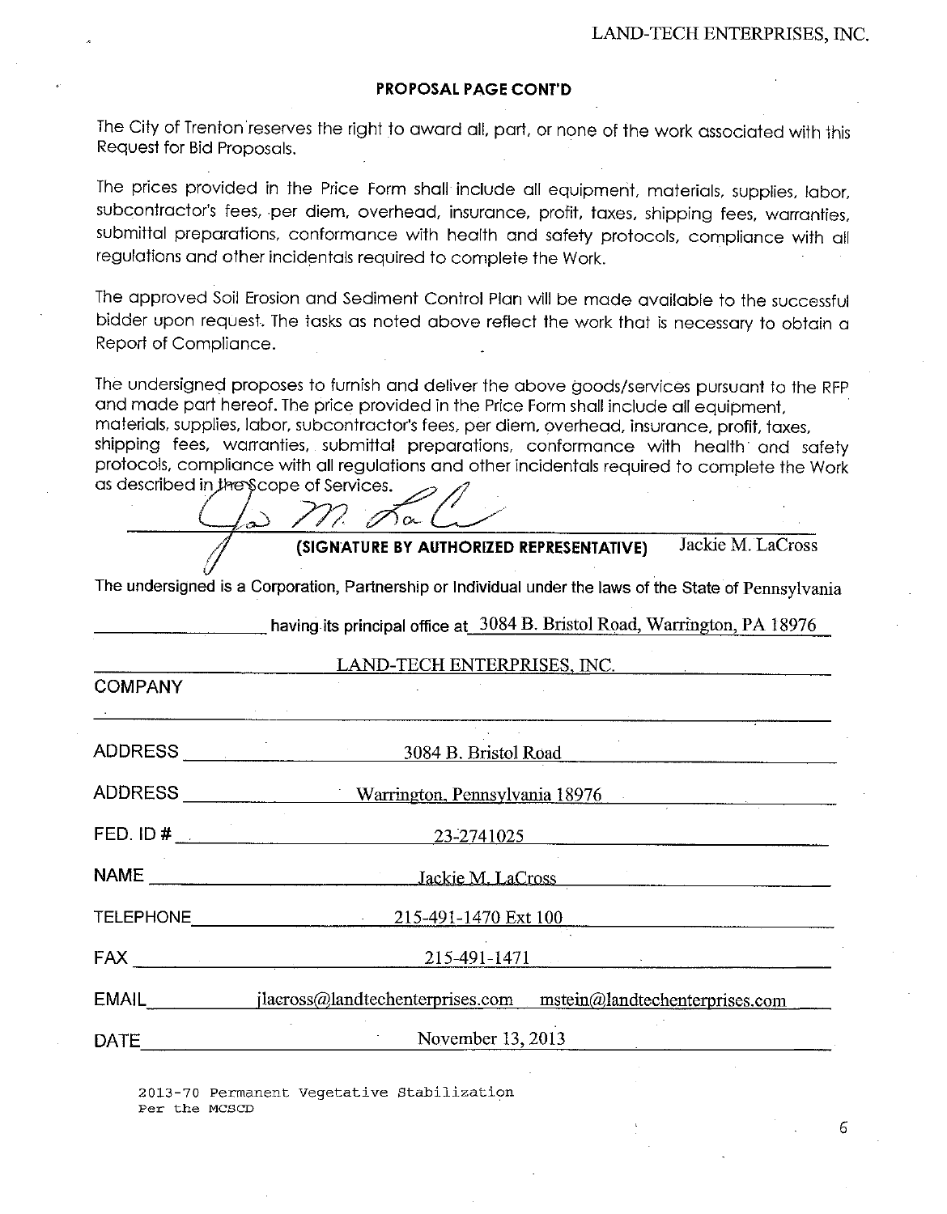#### **PROPOSAL PAGE CONT'D**

The City of Trenton reserves the right to award all, part, or none of the work associated with this Request for Bid Proposals.

The prices provided in the Price Form shall include all equipment, materials, supplies, labor, subcontractor's fees, per diem, overhead, insurance, profit, taxes, shipping fees, warranties, submittal preparations, conformance with health and safety protocols, compliance with all regulations and other incidentals required to complete the Work.

The approved Soil Erosion and Sediment Control Plan will be made available to the successful bidder upon request. The tasks as noted above reflect the work that is necessary to obtain a Report of Compliance.

The undersigned proposes to furnish and deliver the above goods/services pursuant to the RFP and made part hereof. The price provided in the Price Form shall include all equipment, materials, supplies, labor, subcontractor's fees, per diem, overhead, insurance, profit, taxes, shipping fees, warranties, submittal preparations, conformance with health and safety protocols, compliance with all regulations and other incidentals required to complete the Work as described in the Scope of Services.

റ $\sim$ Jackie M. LaCross (SIGNATURE BY AUTHORIZED REPRESENTATIVE)

having its principal office at 3084 B. Bristol Road, Warrington, PA 18976

The undersigned is a Corporation, Partnership or Individual under the laws of the State of Pennsylvania

| LAND-TECH ENTERPRISES, INC.   |                                                                                                                                                                                                                                                                                                                                                                                                               |  |  |  |  |
|-------------------------------|---------------------------------------------------------------------------------------------------------------------------------------------------------------------------------------------------------------------------------------------------------------------------------------------------------------------------------------------------------------------------------------------------------------|--|--|--|--|
| <b>COMPANY</b>                |                                                                                                                                                                                                                                                                                                                                                                                                               |  |  |  |  |
| the control of the control of |                                                                                                                                                                                                                                                                                                                                                                                                               |  |  |  |  |
|                               | ADDRESS 3084 B. Bristol Road                                                                                                                                                                                                                                                                                                                                                                                  |  |  |  |  |
|                               | Warrington, Pennsylvania 18976                                                                                                                                                                                                                                                                                                                                                                                |  |  |  |  |
|                               | FED. ID $\#$ $\qquad \qquad$<br>23-2741025                                                                                                                                                                                                                                                                                                                                                                    |  |  |  |  |
|                               |                                                                                                                                                                                                                                                                                                                                                                                                               |  |  |  |  |
|                               | <b>TELEPHONE Example 2004</b><br>215-491-1470 Ext 100                                                                                                                                                                                                                                                                                                                                                         |  |  |  |  |
|                               | $215-491-1471$<br>$\begin{picture}(180,10) \put(0,0){\dashbox{0.5}(10,0){ }} \put(15,0){\circle{10}} \put(15,0){\circle{10}} \put(15,0){\circle{10}} \put(15,0){\circle{10}} \put(15,0){\circle{10}} \put(15,0){\circle{10}} \put(15,0){\circle{10}} \put(15,0){\circle{10}} \put(15,0){\circle{10}} \put(15,0){\circle{10}} \put(15,0){\circle{10}} \put(15,0){\circle{10}} \put(15,0){\circle{10}} \put(15$ |  |  |  |  |
| EMAIL                         | jlacross@landtechenterprises.com mstein@landtechenterprises.com                                                                                                                                                                                                                                                                                                                                               |  |  |  |  |
| <b>DATE</b>                   | November 13, 2013                                                                                                                                                                                                                                                                                                                                                                                             |  |  |  |  |

2013-70 Permanent Vegetative Stabilization Per the MCSCD

F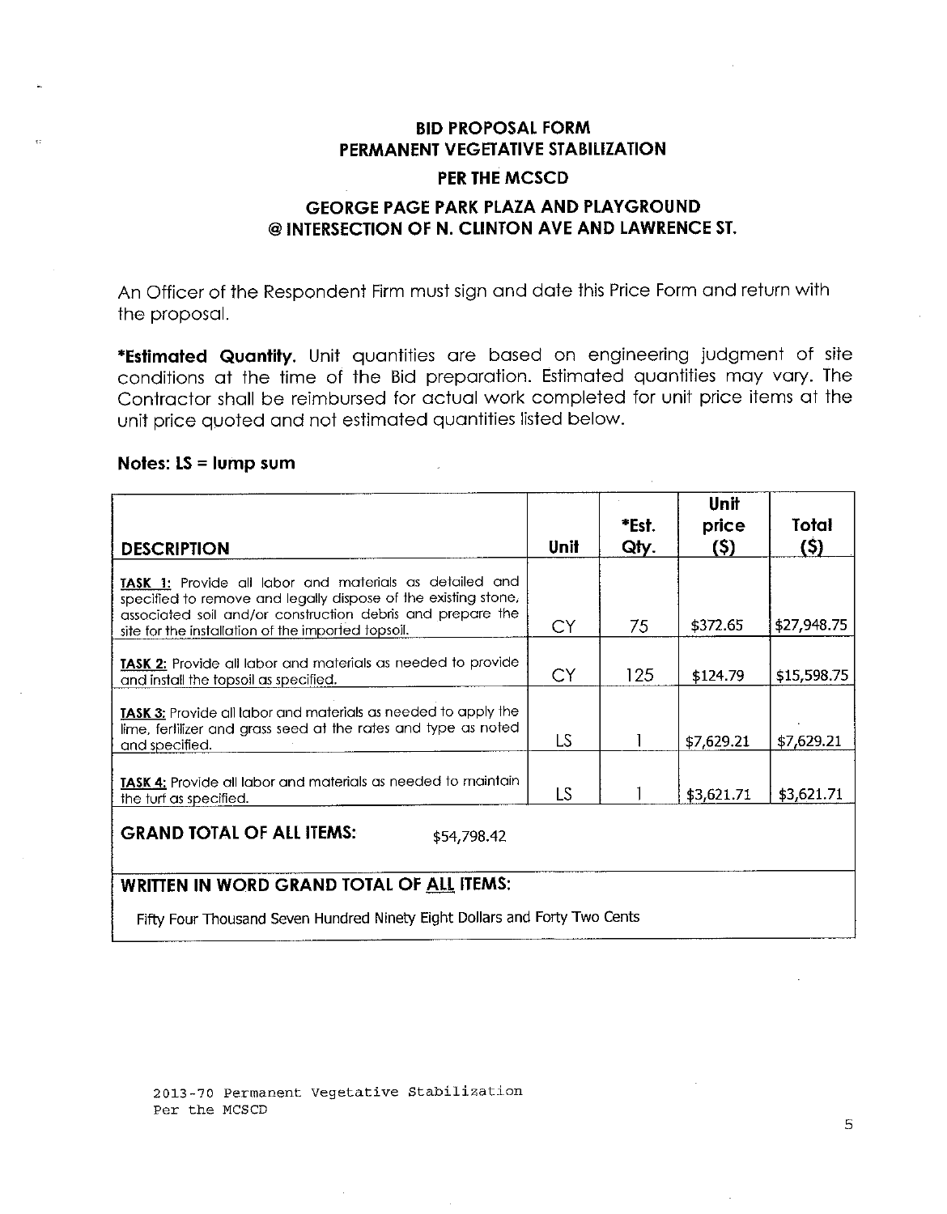# **BID PROPOSAL FORM** PERMANENT VEGETATIVE STABILIZATION

#### **PER THE MCSCD**

# **GEORGE PAGE PARK PLAZA AND PLAYGROUND** @ INTERSECTION OF N. CLINTON AVE AND LAWRENCE ST.

An Officer of the Respondent Firm must sign and date this Price Form and return with the proposal.

\*Estimated Quantity. Unit quantities are based on engineering judgment of site conditions at the time of the Bid preparation. Estimated quantities may vary. The Contractor shall be reimbursed for actual work completed for unit price items at the unit price quoted and not estimated quantities listed below.

#### Notes:  $LS = lump sum$

| <b>DESCRIPTION</b>                                                                                                                                                                                                                            | <b>Unit</b> | *Est.<br>Qly. | Unit<br>price<br>(5) | Total<br>(5) |
|-----------------------------------------------------------------------------------------------------------------------------------------------------------------------------------------------------------------------------------------------|-------------|---------------|----------------------|--------------|
| TASK 1: Provide all labor and materials as detailed and<br>specified to remove and legally dispose of the existing stone,<br>associated soil and/or construction debris and prepare the<br>site for the installation of the imported topsoil. | CY          | 75            | \$372.65             | \$27,948.75  |
| TASK 2: Provide all labor and materials as needed to provide<br>and install the topsoil as specified.                                                                                                                                         | CY          | 125           | \$124.79             | \$15,598.75  |
| TASK 3: Provide all labor and materials as needed to apply the<br>lime, fertilizer and grass seed at the rates and type as noted<br>and specified.                                                                                            | LS          |               | \$7,629.21           | \$7,629.21   |
| TASK 4: Provide all labor and materials as needed to maintain<br>the turf as specified.                                                                                                                                                       | LS          |               | \$3,621.71           | \$3,621.71   |
| <b>GRAND TOTAL OF ALL ITEMS:</b><br>\$54,798.42                                                                                                                                                                                               |             |               |                      |              |

### **WRITTEN IN WORD GRAND TOTAL OF ALL ITEMS:**

Fifty Four Thousand Seven Hundred Ninety Eight Dollars and Forty Two Cents